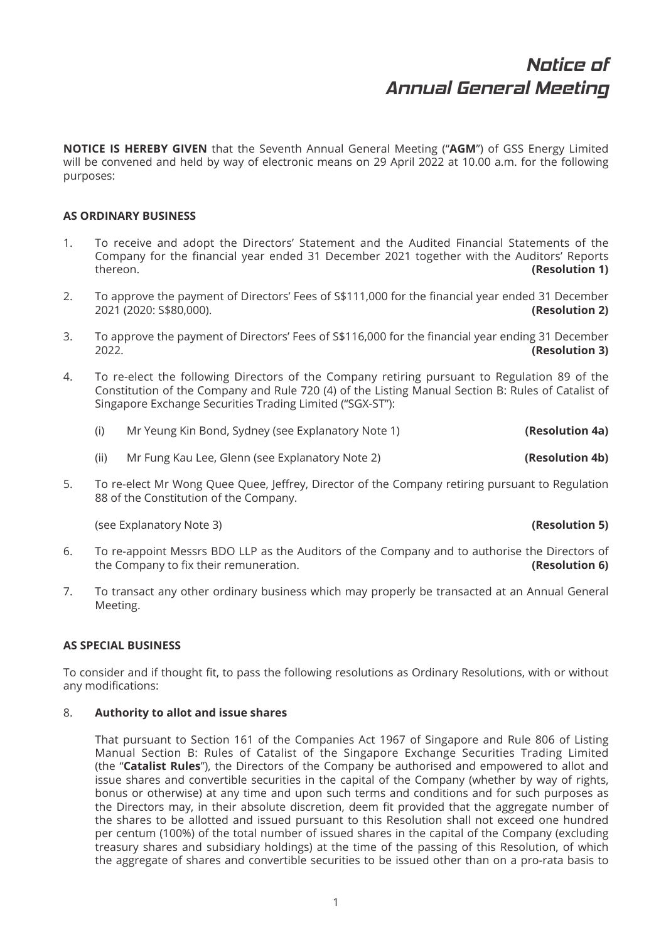**NOTICE IS HEREBY GIVEN** that the Seventh Annual General Meeting ("**AGM**") of GSS Energy Limited will be convened and held by way of electronic means on 29 April 2022 at 10.00 a.m. for the following purposes:

## **AS ORDINARY BUSINESS**

- 1. To receive and adopt the Directors' Statement and the Audited Financial Statements of the Company for the financial year ended 31 December 2021 together with the Auditors' Reports thereon. **(Resolution 1)**
- 2. To approve the payment of Directors' Fees of S\$111,000 for the financial year ended 31 December 2021 (2020: S\$80,000). **(Resolution 2)**
- 3. To approve the payment of Directors' Fees of S\$116,000 for the financial year ending 31 December<br>(Resolution 3) 2022. **(Resolution 3)**
- 4. To re-elect the following Directors of the Company retiring pursuant to Regulation 89 of the Constitution of the Company and Rule 720 (4) of the Listing Manual Section B: Rules of Catalist of Singapore Exchange Securities Trading Limited ("SGX-ST"):

|  |  | Mr Yeung Kin Bond, Sydney (see Explanatory Note 1) | (Resolution 4a) |
|--|--|----------------------------------------------------|-----------------|
|--|--|----------------------------------------------------|-----------------|

- (ii) Mr Fung Kau Lee, Glenn (see Explanatory Note 2) **(Resolution 4b)**
- 5. To re-elect Mr Wong Quee Quee, Jeffrey, Director of the Company retiring pursuant to Regulation 88 of the Constitution of the Company.

(see Explanatory Note 3) **(Resolution 5)**

- 6. To re-appoint Messrs BDO LLP as the Auditors of the Company and to authorise the Directors of the Company to fix their remuneration. **(Resolution 6) (Resolution 6)**
- 7. To transact any other ordinary business which may properly be transacted at an Annual General Meeting.

## **AS SPECIAL BUSINESS**

To consider and if thought fit, to pass the following resolutions as Ordinary Resolutions, with or without any modifications:

## 8. **Authority to allot and issue shares**

 That pursuant to Section 161 of the Companies Act 1967 of Singapore and Rule 806 of Listing Manual Section B: Rules of Catalist of the Singapore Exchange Securities Trading Limited (the "**Catalist Rules**"), the Directors of the Company be authorised and empowered to allot and issue shares and convertible securities in the capital of the Company (whether by way of rights, bonus or otherwise) at any time and upon such terms and conditions and for such purposes as the Directors may, in their absolute discretion, deem fit provided that the aggregate number of the shares to be allotted and issued pursuant to this Resolution shall not exceed one hundred per centum (100%) of the total number of issued shares in the capital of the Company (excluding treasury shares and subsidiary holdings) at the time of the passing of this Resolution, of which the aggregate of shares and convertible securities to be issued other than on a pro-rata basis to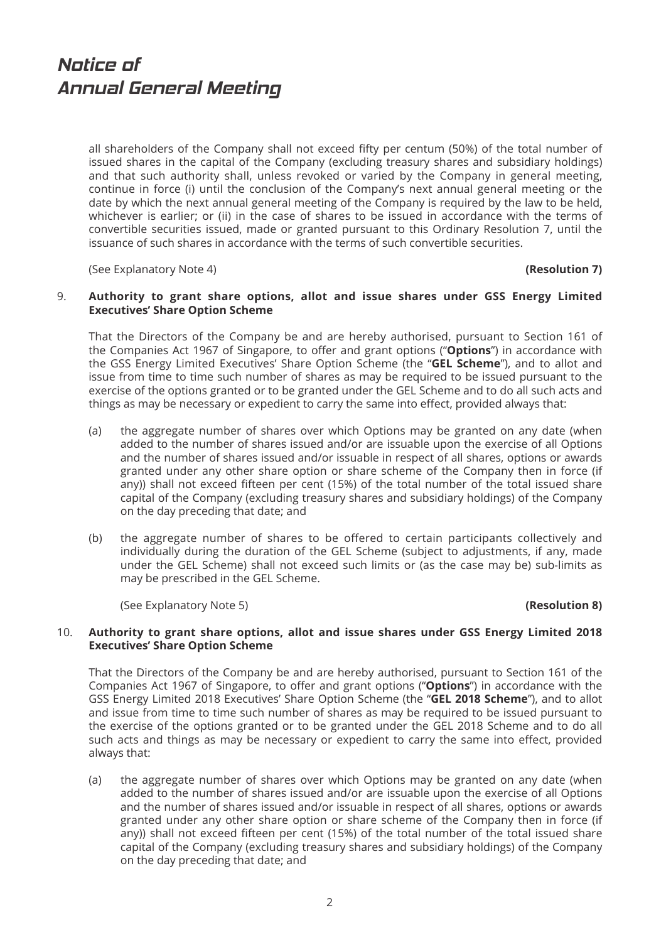all shareholders of the Company shall not exceed fifty per centum (50%) of the total number of issued shares in the capital of the Company (excluding treasury shares and subsidiary holdings) and that such authority shall, unless revoked or varied by the Company in general meeting, continue in force (i) until the conclusion of the Company's next annual general meeting or the date by which the next annual general meeting of the Company is required by the law to be held, whichever is earlier; or (ii) in the case of shares to be issued in accordance with the terms of convertible securities issued, made or granted pursuant to this Ordinary Resolution 7, until the issuance of such shares in accordance with the terms of such convertible securities.

(See Explanatory Note 4) **(Resolution 7)**

### 9. **Authority to grant share options, allot and issue shares under GSS Energy Limited Executives' Share Option Scheme**

 That the Directors of the Company be and are hereby authorised, pursuant to Section 161 of the Companies Act 1967 of Singapore, to offer and grant options ("**Options**") in accordance with the GSS Energy Limited Executives' Share Option Scheme (the "**GEL Scheme**"), and to allot and issue from time to time such number of shares as may be required to be issued pursuant to the exercise of the options granted or to be granted under the GEL Scheme and to do all such acts and things as may be necessary or expedient to carry the same into effect, provided always that:

- (a) the aggregate number of shares over which Options may be granted on any date (when added to the number of shares issued and/or are issuable upon the exercise of all Options and the number of shares issued and/or issuable in respect of all shares, options or awards granted under any other share option or share scheme of the Company then in force (if any)) shall not exceed fifteen per cent (15%) of the total number of the total issued share capital of the Company (excluding treasury shares and subsidiary holdings) of the Company on the day preceding that date; and
- (b) the aggregate number of shares to be offered to certain participants collectively and individually during the duration of the GEL Scheme (subject to adjustments, if any, made under the GEL Scheme) shall not exceed such limits or (as the case may be) sub-limits as may be prescribed in the GEL Scheme.

(See Explanatory Note 5) **(Resolution 8)**

### 10. **Authority to grant share options, allot and issue shares under GSS Energy Limited 2018 Executives' Share Option Scheme**

 That the Directors of the Company be and are hereby authorised, pursuant to Section 161 of the Companies Act 1967 of Singapore, to offer and grant options ("**Options**") in accordance with the GSS Energy Limited 2018 Executives' Share Option Scheme (the "**GEL 2018 Scheme**"), and to allot and issue from time to time such number of shares as may be required to be issued pursuant to the exercise of the options granted or to be granted under the GEL 2018 Scheme and to do all such acts and things as may be necessary or expedient to carry the same into effect, provided always that:

 (a) the aggregate number of shares over which Options may be granted on any date (when added to the number of shares issued and/or are issuable upon the exercise of all Options and the number of shares issued and/or issuable in respect of all shares, options or awards granted under any other share option or share scheme of the Company then in force (if any)) shall not exceed fifteen per cent (15%) of the total number of the total issued share capital of the Company (excluding treasury shares and subsidiary holdings) of the Company on the day preceding that date; and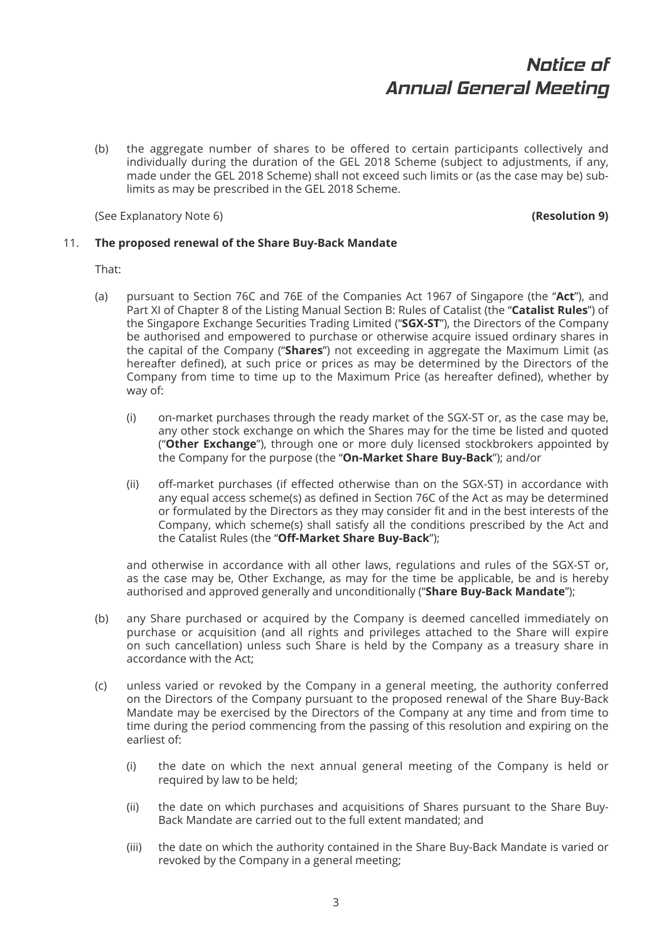(b) the aggregate number of shares to be offered to certain participants collectively and individually during the duration of the GEL 2018 Scheme (subject to adjustments, if any, made under the GEL 2018 Scheme) shall not exceed such limits or (as the case may be) sublimits as may be prescribed in the GEL 2018 Scheme.

(See Explanatory Note 6) **(Resolution 9)**

## 11. **The proposed renewal of the Share Buy-Back Mandate**

That:

- (a) pursuant to Section 76C and 76E of the Companies Act 1967 of Singapore (the "**Act**"), and Part XI of Chapter 8 of the Listing Manual Section B: Rules of Catalist (the "**Catalist Rules**") of the Singapore Exchange Securities Trading Limited ("**SGX-ST**"), the Directors of the Company be authorised and empowered to purchase or otherwise acquire issued ordinary shares in the capital of the Company ("**Shares**") not exceeding in aggregate the Maximum Limit (as hereafter defined), at such price or prices as may be determined by the Directors of the Company from time to time up to the Maximum Price (as hereafter defined), whether by way of:
	- (i) on-market purchases through the ready market of the SGX-ST or, as the case may be, any other stock exchange on which the Shares may for the time be listed and quoted ("**Other Exchange**"), through one or more duly licensed stockbrokers appointed by the Company for the purpose (the "**On-Market Share Buy-Back**"); and/or
	- (ii) off-market purchases (if effected otherwise than on the SGX-ST) in accordance with any equal access scheme(s) as defined in Section 76C of the Act as may be determined or formulated by the Directors as they may consider fit and in the best interests of the Company, which scheme(s) shall satisfy all the conditions prescribed by the Act and the Catalist Rules (the "**Off -Market Share Buy-Back**");

 and otherwise in accordance with all other laws, regulations and rules of the SGX-ST or, as the case may be, Other Exchange, as may for the time be applicable, be and is hereby authorised and approved generally and unconditionally ("**Share Buy-Back Mandate**");

- (b) any Share purchased or acquired by the Company is deemed cancelled immediately on purchase or acquisition (and all rights and privileges attached to the Share will expire on such cancellation) unless such Share is held by the Company as a treasury share in accordance with the Act;
- (c) unless varied or revoked by the Company in a general meeting, the authority conferred on the Directors of the Company pursuant to the proposed renewal of the Share Buy-Back Mandate may be exercised by the Directors of the Company at any time and from time to time during the period commencing from the passing of this resolution and expiring on the earliest of:
	- (i) the date on which the next annual general meeting of the Company is held or required by law to be held;
	- (ii) the date on which purchases and acquisitions of Shares pursuant to the Share Buy-Back Mandate are carried out to the full extent mandated; and
	- (iii) the date on which the authority contained in the Share Buy-Back Mandate is varied or revoked by the Company in a general meeting;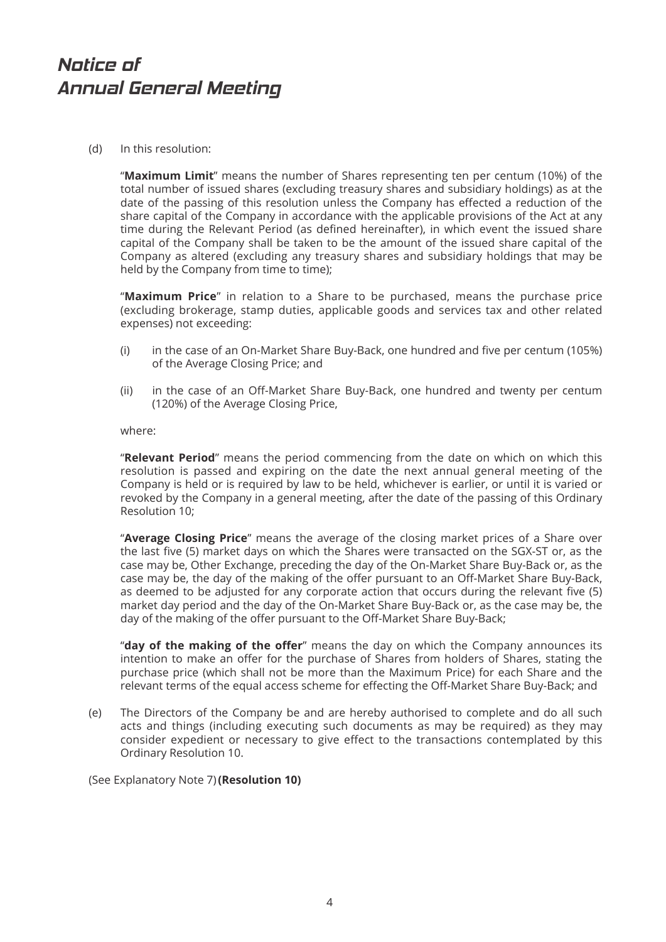(d) In this resolution:

 "**Maximum Limit**" means the number of Shares representing ten per centum (10%) of the total number of issued shares (excluding treasury shares and subsidiary holdings) as at the date of the passing of this resolution unless the Company has effected a reduction of the share capital of the Company in accordance with the applicable provisions of the Act at any time during the Relevant Period (as defined hereinafter), in which event the issued share capital of the Company shall be taken to be the amount of the issued share capital of the Company as altered (excluding any treasury shares and subsidiary holdings that may be held by the Company from time to time):

 "**Maximum Price**" in relation to a Share to be purchased, means the purchase price (excluding brokerage, stamp duties, applicable goods and services tax and other related expenses) not exceeding:

- (i) in the case of an On-Market Share Buy-Back, one hundred and five per centum (105%) of the Average Closing Price; and
- (ii) in the case of an Off -Market Share Buy-Back, one hundred and twenty per centum (120%) of the Average Closing Price,

where:

 "**Relevant Period**" means the period commencing from the date on which on which this resolution is passed and expiring on the date the next annual general meeting of the Company is held or is required by law to be held, whichever is earlier, or until it is varied or revoked by the Company in a general meeting, after the date of the passing of this Ordinary Resolution 10;

 "**Average Closing Price**" means the average of the closing market prices of a Share over the last five (5) market days on which the Shares were transacted on the SGX-ST or, as the case may be, Other Exchange, preceding the day of the On-Market Share Buy-Back or, as the case may be, the day of the making of the offer pursuant to an Off-Market Share Buy-Back, as deemed to be adjusted for any corporate action that occurs during the relevant five (5) market day period and the day of the On-Market Share Buy-Back or, as the case may be, the day of the making of the offer pursuant to the Off-Market Share Buy-Back;

 "**day of the making of the off er**" means the day on which the Company announces its intention to make an offer for the purchase of Shares from holders of Shares, stating the purchase price (which shall not be more than the Maximum Price) for each Share and the relevant terms of the equal access scheme for effecting the Off-Market Share Buy-Back; and

 (e) The Directors of the Company be and are hereby authorised to complete and do all such acts and things (including executing such documents as may be required) as they may consider expedient or necessary to give effect to the transactions contemplated by this Ordinary Resolution 10.

(See Explanatory Note 7) **(Resolution 10)**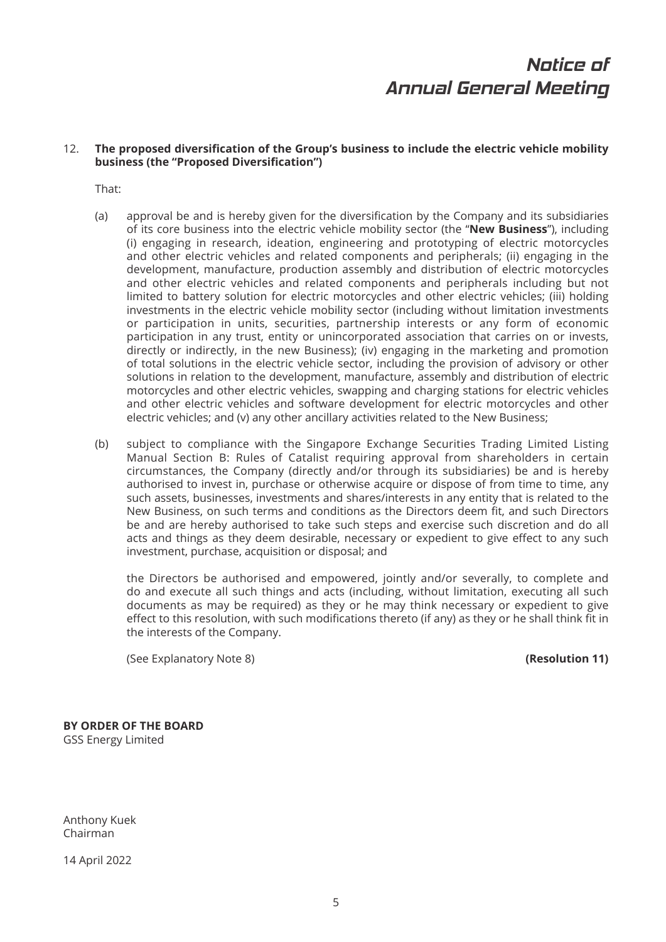## 12. The proposed diversification of the Group's business to include the electric vehicle mobility **business (the "Proposed Diversification")**

That:

- (a) approval be and is hereby given for the diversification by the Company and its subsidiaries of its core business into the electric vehicle mobility sector (the "**New Business**"), including (i) engaging in research, ideation, engineering and prototyping of electric motorcycles and other electric vehicles and related components and peripherals; (ii) engaging in the development, manufacture, production assembly and distribution of electric motorcycles and other electric vehicles and related components and peripherals including but not limited to battery solution for electric motorcycles and other electric vehicles; (iii) holding investments in the electric vehicle mobility sector (including without limitation investments or participation in units, securities, partnership interests or any form of economic participation in any trust, entity or unincorporated association that carries on or invests, directly or indirectly, in the new Business); (iv) engaging in the marketing and promotion of total solutions in the electric vehicle sector, including the provision of advisory or other solutions in relation to the development, manufacture, assembly and distribution of electric motorcycles and other electric vehicles, swapping and charging stations for electric vehicles and other electric vehicles and software development for electric motorcycles and other electric vehicles; and (v) any other ancillary activities related to the New Business;
- (b) subject to compliance with the Singapore Exchange Securities Trading Limited Listing Manual Section B: Rules of Catalist requiring approval from shareholders in certain circumstances, the Company (directly and/or through its subsidiaries) be and is hereby authorised to invest in, purchase or otherwise acquire or dispose of from time to time, any such assets, businesses, investments and shares/interests in any entity that is related to the New Business, on such terms and conditions as the Directors deem fit, and such Directors be and are hereby authorised to take such steps and exercise such discretion and do all acts and things as they deem desirable, necessary or expedient to give effect to any such investment, purchase, acquisition or disposal; and

 the Directors be authorised and empowered, jointly and/or severally, to complete and do and execute all such things and acts (including, without limitation, executing all such documents as may be required) as they or he may think necessary or expedient to give effect to this resolution, with such modifications thereto (if any) as they or he shall think fit in the interests of the Company.

(See Explanatory Note 8) **(Resolution 11)**

**BY ORDER OF THE BOARD** GSS Energy Limited

Anthony Kuek Chairman

14 April 2022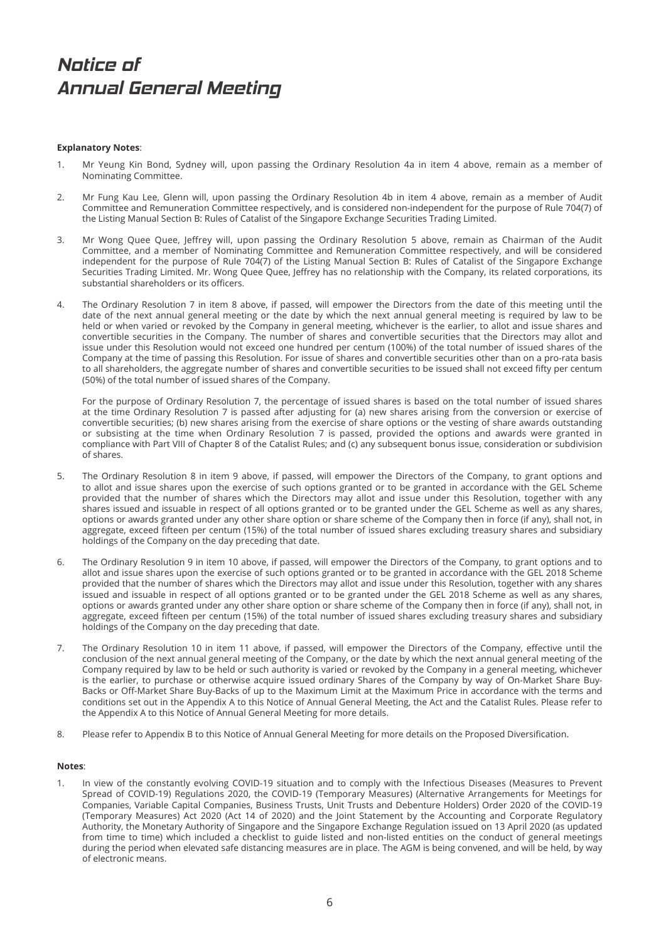### **Explanatory Notes**:

- 1. Mr Yeung Kin Bond, Sydney will, upon passing the Ordinary Resolution 4a in item 4 above, remain as a member of Nominating Committee.
- 2. Mr Fung Kau Lee, Glenn will, upon passing the Ordinary Resolution 4b in item 4 above, remain as a member of Audit Committee and Remuneration Committee respectively, and is considered non-independent for the purpose of Rule 704(7) of the Listing Manual Section B: Rules of Catalist of the Singapore Exchange Securities Trading Limited.
- 3. Mr Wong Quee Quee, Jeffrey will, upon passing the Ordinary Resolution 5 above, remain as Chairman of the Audit Committee, and a member of Nominating Committee and Remuneration Committee respectively, and will be considered independent for the purpose of Rule 704(7) of the Listing Manual Section B: Rules of Catalist of the Singapore Exchange Securities Trading Limited. Mr. Wong Quee Quee, Jeffrey has no relationship with the Company, its related corporations, its substantial shareholders or its officers.
- 4. The Ordinary Resolution 7 in item 8 above, if passed, will empower the Directors from the date of this meeting until the date of the next annual general meeting or the date by which the next annual general meeting is required by law to be held or when varied or revoked by the Company in general meeting, whichever is the earlier, to allot and issue shares and convertible securities in the Company. The number of shares and convertible securities that the Directors may allot and issue under this Resolution would not exceed one hundred per centum (100%) of the total number of issued shares of the Company at the time of passing this Resolution. For issue of shares and convertible securities other than on a pro-rata basis to all shareholders, the aggregate number of shares and convertible securities to be issued shall not exceed fifty per centum (50%) of the total number of issued shares of the Company.

 For the purpose of Ordinary Resolution 7, the percentage of issued shares is based on the total number of issued shares at the time Ordinary Resolution 7 is passed after adjusting for (a) new shares arising from the conversion or exercise of convertible securities; (b) new shares arising from the exercise of share options or the vesting of share awards outstanding or subsisting at the time when Ordinary Resolution 7 is passed, provided the options and awards were granted in compliance with Part VIII of Chapter 8 of the Catalist Rules; and (c) any subsequent bonus issue, consideration or subdivision of shares.

- 5. The Ordinary Resolution 8 in item 9 above, if passed, will empower the Directors of the Company, to grant options and to allot and issue shares upon the exercise of such options granted or to be granted in accordance with the GEL Scheme provided that the number of shares which the Directors may allot and issue under this Resolution, together with any shares issued and issuable in respect of all options granted or to be granted under the GEL Scheme as well as any shares, options or awards granted under any other share option or share scheme of the Company then in force (if any), shall not, in aggregate, exceed fifteen per centum (15%) of the total number of issued shares excluding treasury shares and subsidiary holdings of the Company on the day preceding that date.
- 6. The Ordinary Resolution 9 in item 10 above, if passed, will empower the Directors of the Company, to grant options and to allot and issue shares upon the exercise of such options granted or to be granted in accordance with the GEL 2018 Scheme provided that the number of shares which the Directors may allot and issue under this Resolution, together with any shares issued and issuable in respect of all options granted or to be granted under the GEL 2018 Scheme as well as any shares, options or awards granted under any other share option or share scheme of the Company then in force (if any), shall not, in aggregate, exceed fifteen per centum (15%) of the total number of issued shares excluding treasury shares and subsidiary holdings of the Company on the day preceding that date.
- 7. The Ordinary Resolution 10 in item 11 above, if passed, will empower the Directors of the Company, effective until the conclusion of the next annual general meeting of the Company, or the date by which the next annual general meeting of the Company required by law to be held or such authority is varied or revoked by the Company in a general meeting, whichever is the earlier, to purchase or otherwise acquire issued ordinary Shares of the Company by way of On-Market Share Buy-Backs or Off -Market Share Buy-Backs of up to the Maximum Limit at the Maximum Price in accordance with the terms and conditions set out in the Appendix A to this Notice of Annual General Meeting, the Act and the Catalist Rules. Please refer to the Appendix A to this Notice of Annual General Meeting for more details.
- 8. Please refer to Appendix B to this Notice of Annual General Meeting for more details on the Proposed Diversification.

#### **Notes**:

1. In view of the constantly evolving COVID-19 situation and to comply with the Infectious Diseases (Measures to Prevent Spread of COVID-19) Regulations 2020, the COVID-19 (Temporary Measures) (Alternative Arrangements for Meetings for Companies, Variable Capital Companies, Business Trusts, Unit Trusts and Debenture Holders) Order 2020 of the COVID-19 (Temporary Measures) Act 2020 (Act 14 of 2020) and the Joint Statement by the Accounting and Corporate Regulatory Authority, the Monetary Authority of Singapore and the Singapore Exchange Regulation issued on 13 April 2020 (as updated from time to time) which included a checklist to guide listed and non-listed entities on the conduct of general meetings during the period when elevated safe distancing measures are in place. The AGM is being convened, and will be held, by way of electronic means.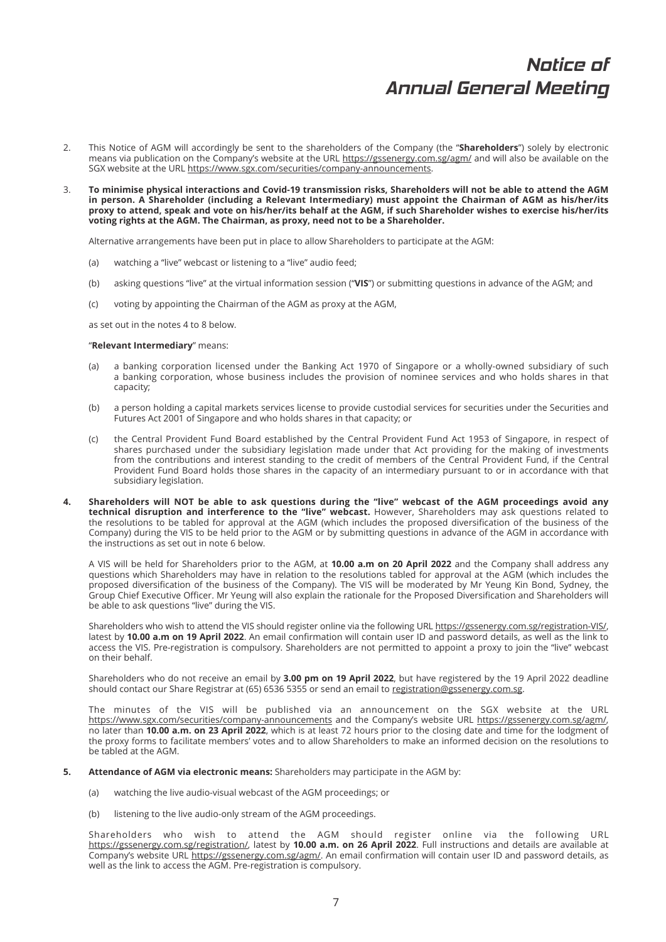- 2. This Notice of AGM will accordingly be sent to the shareholders of the Company (the "**Shareholders**") solely by electronic means via publication on the Company's website at the URL https://gssenergy.com.sg/agm/ and will also be available on the SGX website at the URL https://www.sgx.com/securities/company-announcements.
- 3. **To minimise physical interactions and Covid-19 transmission risks, Shareholders will not be able to attend the AGM in person. A Shareholder (including a Relevant Intermediary) must appoint the Chairman of AGM as his/her/its proxy to attend, speak and vote on his/her/its behalf at the AGM, if such Shareholder wishes to exercise his/her/its voting rights at the AGM. The Chairman, as proxy, need not to be a Shareholder.**

Alternative arrangements have been put in place to allow Shareholders to participate at the AGM:

- (a) watching a "live" webcast or listening to a "live" audio feed;
- (b) asking questions "live" at the virtual information session ("**VIS**") or submitting questions in advance of the AGM; and
- (c) voting by appointing the Chairman of the AGM as proxy at the AGM,

as set out in the notes 4 to 8 below.

#### "**Relevant Intermediary**" means:

- (a) a banking corporation licensed under the Banking Act 1970 of Singapore or a wholly-owned subsidiary of such a banking corporation, whose business includes the provision of nominee services and who holds shares in that capacity;
- (b) a person holding a capital markets services license to provide custodial services for securities under the Securities and Futures Act 2001 of Singapore and who holds shares in that capacity; or
- (c) the Central Provident Fund Board established by the Central Provident Fund Act 1953 of Singapore, in respect of shares purchased under the subsidiary legislation made under that Act providing for the making of investments from the contributions and interest standing to the credit of members of the Central Provident Fund, if the Central Provident Fund Board holds those shares in the capacity of an intermediary pursuant to or in accordance with that subsidiary legislation.
- **4. Shareholders will NOT be able to ask questions during the "live" webcast of the AGM proceedings avoid any technical disruption and interference to the "live" webcast.** However, Shareholders may ask questions related to the resolutions to be tabled for approval at the AGM (which includes the proposed diversification of the business of the Company) during the VIS to be held prior to the AGM or by submitting questions in advance of the AGM in accordance with the instructions as set out in note 6 below.

 A VIS will be held for Shareholders prior to the AGM, at **10.00 a.m on 20 April 2022** and the Company shall address any questions which Shareholders may have in relation to the resolutions tabled for approval at the AGM (which includes the proposed diversification of the business of the Company). The VIS will be moderated by Mr Yeung Kin Bond, Sydney, the Group Chief Executive Officer. Mr Yeung will also explain the rationale for the Proposed Diversification and Shareholders will be able to ask questions "live" during the VIS.

 Shareholders who wish to attend the VIS should register online via the following URL https://gssenergy.com.sg/registration-VIS/, latest by 10.00 a.m on 19 April 2022. An email confirmation will contain user ID and password details, as well as the link to access the VIS. Pre-registration is compulsory. Shareholders are not permitted to appoint a proxy to join the "live" webcast on their behalf.

 Shareholders who do not receive an email by **3.00 pm on 19 April 2022**, but have registered by the 19 April 2022 deadline should contact our Share Registrar at (65) 6536 5355 or send an email to registration@gssenergy.com.sg.

 The minutes of the VIS will be published via an announcement on the SGX website at the URL https://www.sgx.com/securities/company-announcements and the Company's website URL https://gssenergy.com.sg/agm/, no later than **10.00 a.m. on 23 April 2022**, which is at least 72 hours prior to the closing date and time for the lodgment of the proxy forms to facilitate members' votes and to allow Shareholders to make an informed decision on the resolutions to be tabled at the AGM.

- **5. Attendance of AGM via electronic means:** Shareholders may participate in the AGM by:
	- (a) watching the live audio-visual webcast of the AGM proceedings; or
	- (b) listening to the live audio-only stream of the AGM proceedings.

 Shareholders who wish to attend the AGM should register online via the following URL https://gssenergy.com.sg/registration/, latest by **10.00 a.m. on 26 April 2022**. Full instructions and details are available at Company's website URL https://gssenergy.com.sg/agm/. An email confirmation will contain user ID and password details, as well as the link to access the AGM. Pre-registration is compulsory.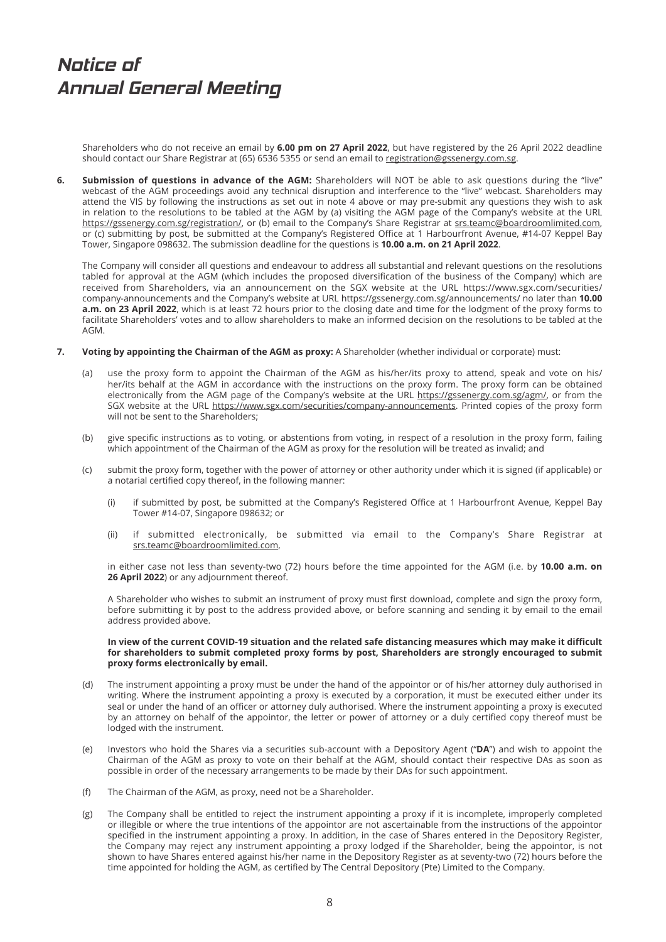Shareholders who do not receive an email by **6.00 pm on 27 April 2022**, but have registered by the 26 April 2022 deadline should contact our Share Registrar at (65) 6536 5355 or send an email to registration@gssenergy.com.sg.

**6. Submission of questions in advance of the AGM:** Shareholders will NOT be able to ask questions during the "live" webcast of the AGM proceedings avoid any technical disruption and interference to the "live" webcast. Shareholders may attend the VIS by following the instructions as set out in note 4 above or may pre-submit any questions they wish to ask in relation to the resolutions to be tabled at the AGM by (a) visiting the AGM page of the Company's website at the URL https://gssenergy.com.sg/registration/, or (b) email to the Company's Share Registrar at srs.teamc@boardroomlimited.com, or (c) submitting by post, be submitted at the Company's Registered Office at 1 Harbourfront Avenue, #14-07 Keppel Bay Tower, Singapore 098632. The submission deadline for the questions is **10.00 a.m. on 21 April 2022**.

 The Company will consider all questions and endeavour to address all substantial and relevant questions on the resolutions tabled for approval at the AGM (which includes the proposed diversification of the business of the Company) which are received from Shareholders, via an announcement on the SGX website at the URL https://www.sgx.com/securities/ company-announcements and the Company's website at URL https://gssenergy.com.sg/announcements/ no later than **10.00 a.m. on 23 April 2022**, which is at least 72 hours prior to the closing date and time for the lodgment of the proxy forms to facilitate Shareholders' votes and to allow shareholders to make an informed decision on the resolutions to be tabled at the AGM.

- **7. Voting by appointing the Chairman of the AGM as proxy:** A Shareholder (whether individual or corporate) must:
	- (a) use the proxy form to appoint the Chairman of the AGM as his/her/its proxy to attend, speak and vote on his/ her/its behalf at the AGM in accordance with the instructions on the proxy form. The proxy form can be obtained electronically from the AGM page of the Company's website at the URL https://gssenergy.com.sg/agm/, or from the SGX website at the URL https://www.sgx.com/securities/company-announcements. Printed copies of the proxy form will not be sent to the Shareholders;
	- (b) give specific instructions as to voting, or abstentions from voting, in respect of a resolution in the proxy form, failing which appointment of the Chairman of the AGM as proxy for the resolution will be treated as invalid; and
	- (c) submit the proxy form, together with the power of attorney or other authority under which it is signed (if applicable) or a notarial certified copy thereof, in the following manner:
		- (i) if submitted by post, be submitted at the Company's Registered Office at 1 Harbourfront Avenue, Keppel Bay Tower #14-07, Singapore 098632; or
		- (ii) if submitted electronically, be submitted via email to the Company's Share Registrar at srs.teamc@boardroomlimited.com,

 in either case not less than seventy-two (72) hours before the time appointed for the AGM (i.e. by **10.00 a.m. on 26 April 2022**) or any adjournment thereof.

A Shareholder who wishes to submit an instrument of proxy must first download, complete and sign the proxy form, before submitting it by post to the address provided above, or before scanning and sending it by email to the email address provided above.

### **In view of the current COVID-19 situation and the related safe distancing measures which may make it diffi cult for shareholders to submit completed proxy forms by post, Shareholders are strongly encouraged to submit proxy forms electronically by email.**

- (d) The instrument appointing a proxy must be under the hand of the appointor or of his/her attorney duly authorised in writing. Where the instrument appointing a proxy is executed by a corporation, it must be executed either under its seal or under the hand of an officer or attorney duly authorised. Where the instrument appointing a proxy is executed by an attorney on behalf of the appointor, the letter or power of attorney or a duly certified copy thereof must be lodged with the instrument.
- (e) Investors who hold the Shares via a securities sub-account with a Depository Agent ("**DA**") and wish to appoint the Chairman of the AGM as proxy to vote on their behalf at the AGM, should contact their respective DAs as soon as possible in order of the necessary arrangements to be made by their DAs for such appointment.
- (f) The Chairman of the AGM, as proxy, need not be a Shareholder.
- (g) The Company shall be entitled to reject the instrument appointing a proxy if it is incomplete, improperly completed or illegible or where the true intentions of the appointor are not ascertainable from the instructions of the appointor specified in the instrument appointing a proxy. In addition, in the case of Shares entered in the Depository Register, the Company may reject any instrument appointing a proxy lodged if the Shareholder, being the appointor, is not shown to have Shares entered against his/her name in the Depository Register as at seventy-two (72) hours before the time appointed for holding the AGM, as certified by The Central Depository (Pte) Limited to the Company.